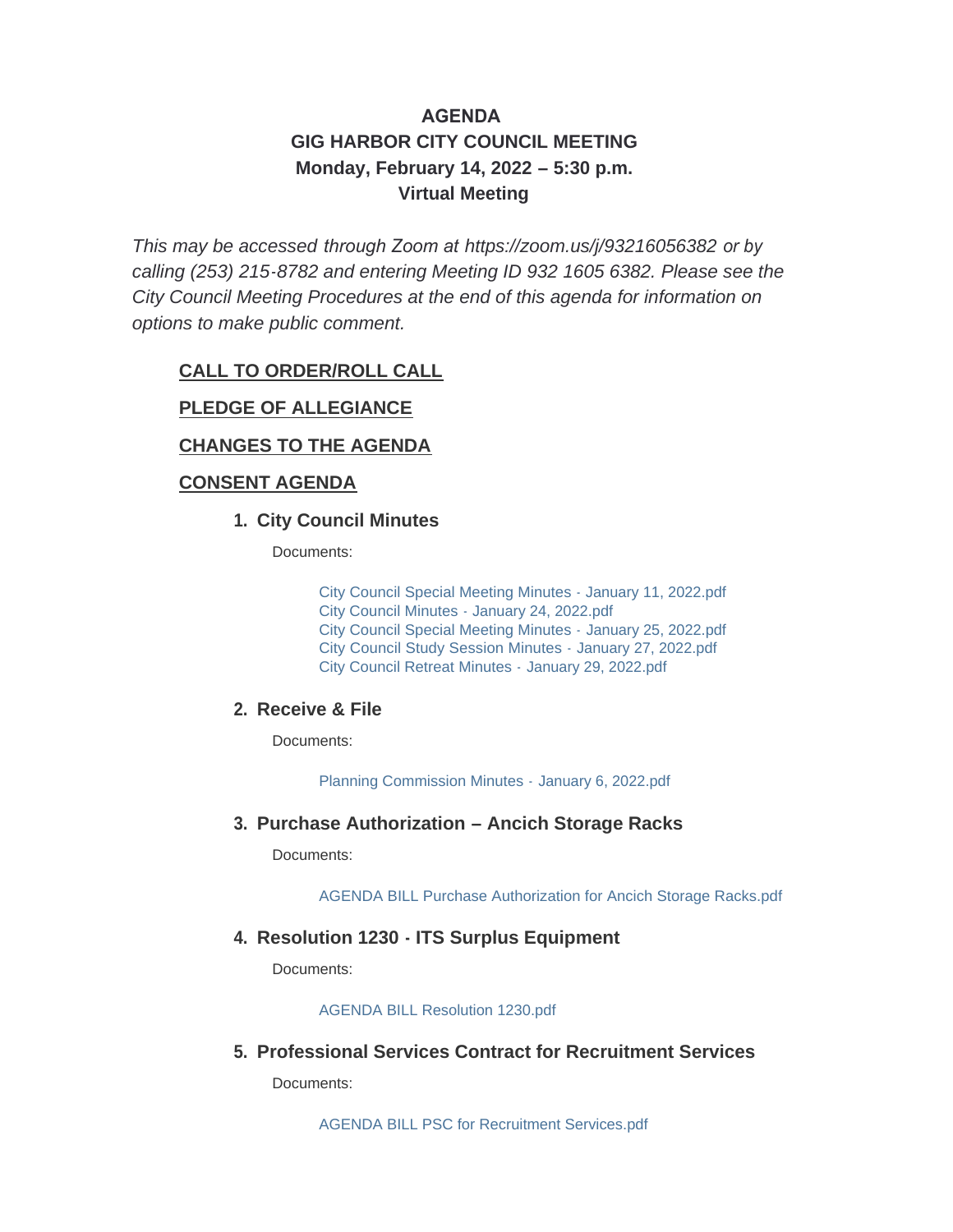# **AGENDA GIG HARBOR CITY COUNCIL MEETING Monday, February 14, 2022 – 5:30 p.m. Virtual Meeting**

*This may be accessed through Zoom at <https://zoom.us/j/93216056382> or by calling (253) 215-8782 and entering Meeting ID 932 1605 6382. Please see the City Council Meeting Procedures at the end of this agenda for information on options to make public comment.*

#### **CALL TO ORDER/ROLL CALL**

#### **PLEDGE OF ALLEGIANCE**

## **CHANGES TO THE AGENDA**

#### **CONSENT AGENDA**

#### **City Council Minutes 1.**

Documents:

[City Council Special Meeting Minutes - January 11, 2022.pdf](http://www.cityofgigharbor.net/AgendaCenter/ViewFile/Item/760?fileID=1769) [City Council Minutes - January 24, 2022.pdf](http://www.cityofgigharbor.net/AgendaCenter/ViewFile/Item/760?fileID=1771) [City Council Special Meeting Minutes -](http://www.cityofgigharbor.net/AgendaCenter/ViewFile/Item/760?fileID=1768) January 25, 2022.pdf [City Council Study Session Minutes -](http://www.cityofgigharbor.net/AgendaCenter/ViewFile/Item/760?fileID=1772) January 27, 2022.pdf [City Council Retreat Minutes -](http://www.cityofgigharbor.net/AgendaCenter/ViewFile/Item/760?fileID=1770) January 29, 2022.pdf

#### **Receive & File 2.**

Documents:

[Planning Commission Minutes -](http://www.cityofgigharbor.net/AgendaCenter/ViewFile/Item/761?fileID=1760) January 6, 2022.pdf

#### **Purchase Authorization – Ancich Storage Racks 3.**

Documents:

[AGENDA BILL Purchase Authorization for Ancich Storage Racks.pdf](http://www.cityofgigharbor.net/AgendaCenter/ViewFile/Item/764?fileID=1767)

#### **Resolution 1230 - ITS Surplus Equipment 4.**

Documents:

[AGENDA BILL Resolution 1230.pdf](http://www.cityofgigharbor.net/AgendaCenter/ViewFile/Item/765?fileID=1762)

#### **Professional Services Contract for Recruitment Services 5.**

Documents:

[AGENDA BILL PSC for Recruitment Services.pdf](http://www.cityofgigharbor.net/AgendaCenter/ViewFile/Item/768?fileID=1777)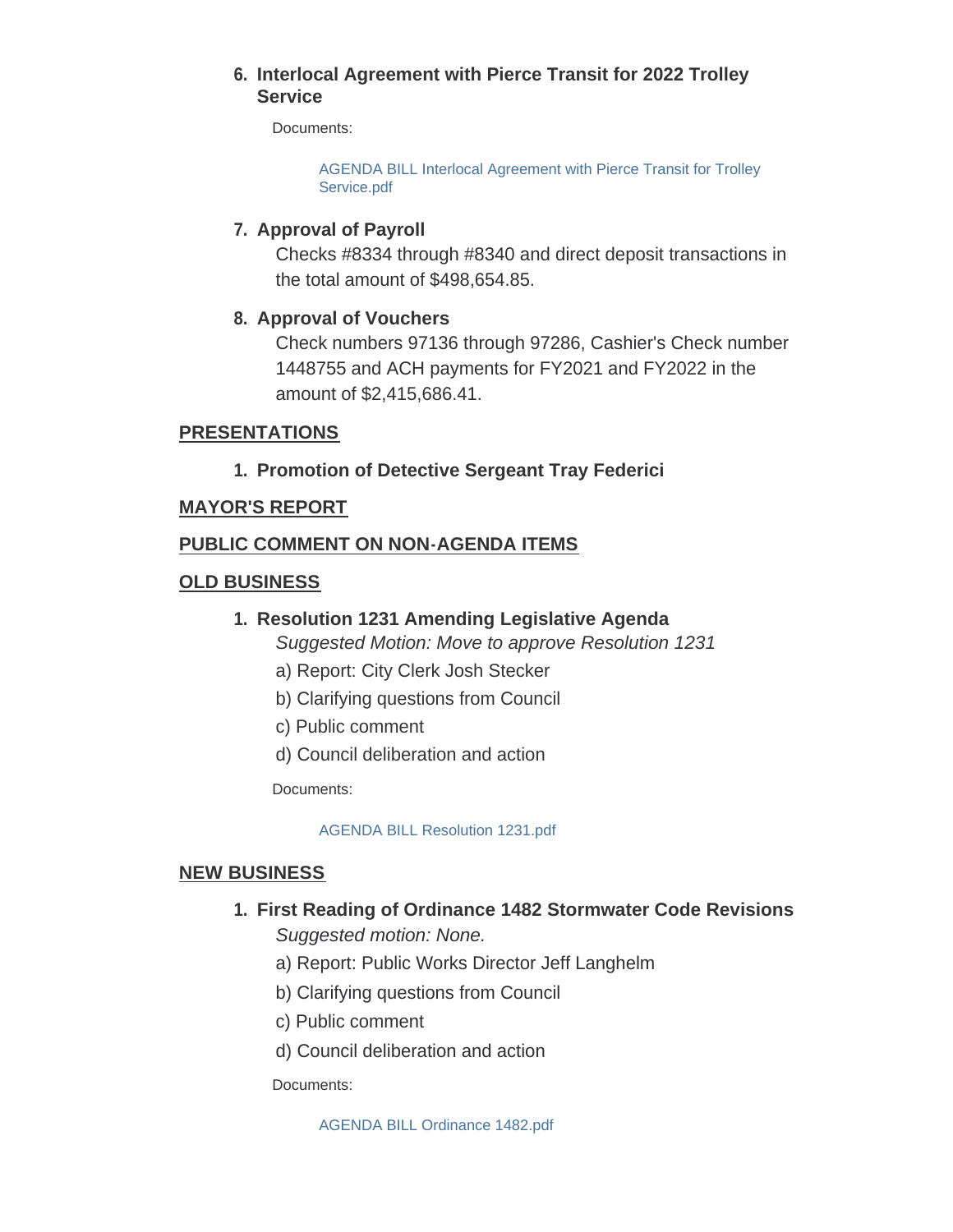#### **Interlocal Agreement with Pierce Transit for 2022 Trolley 6. Service**

Documents:

[AGENDA BILL Interlocal Agreement with Pierce Transit for Trolley](http://www.cityofgigharbor.net/AgendaCenter/ViewFile/Item/774?fileID=1778)  Service.pdf

## **Approval of Payroll 7.**

Checks #8334 through #8340 and direct deposit transactions in the total amount of \$498,654.85.

## **Approval of Vouchers 8.**

Check numbers 97136 through 97286, Cashier's Check number 1448755 and ACH payments for FY2021 and FY2022 in the amount of \$2,415,686.41.

## **PRESENTATIONS**

## **Promotion of Detective Sergeant Tray Federici 1.**

#### **MAYOR'S REPORT**

## **PUBLIC COMMENT ON NON-AGENDA ITEMS**

## **OLD BUSINESS**

## **Resolution 1231 Amending Legislative Agenda 1.**

*Suggested Motion: Move to approve Resolution 1231*

- a) Report: City Clerk Josh Stecker
- b) Clarifying questions from Council
- c) Public comment
- d) Council deliberation and action

Documents:

[AGENDA BILL Resolution 1231.pdf](http://www.cityofgigharbor.net/AgendaCenter/ViewFile/Item/767?fileID=1766)

#### **NEW BUSINESS**

# **First Reading of Ordinance 1482 Stormwater Code Revisions 1.**

*Suggested motion: None.*

- a) Report: Public Works Director Jeff Langhelm
- b) Clarifying questions from Council
- c) Public comment
- d) Council deliberation and action

Documents: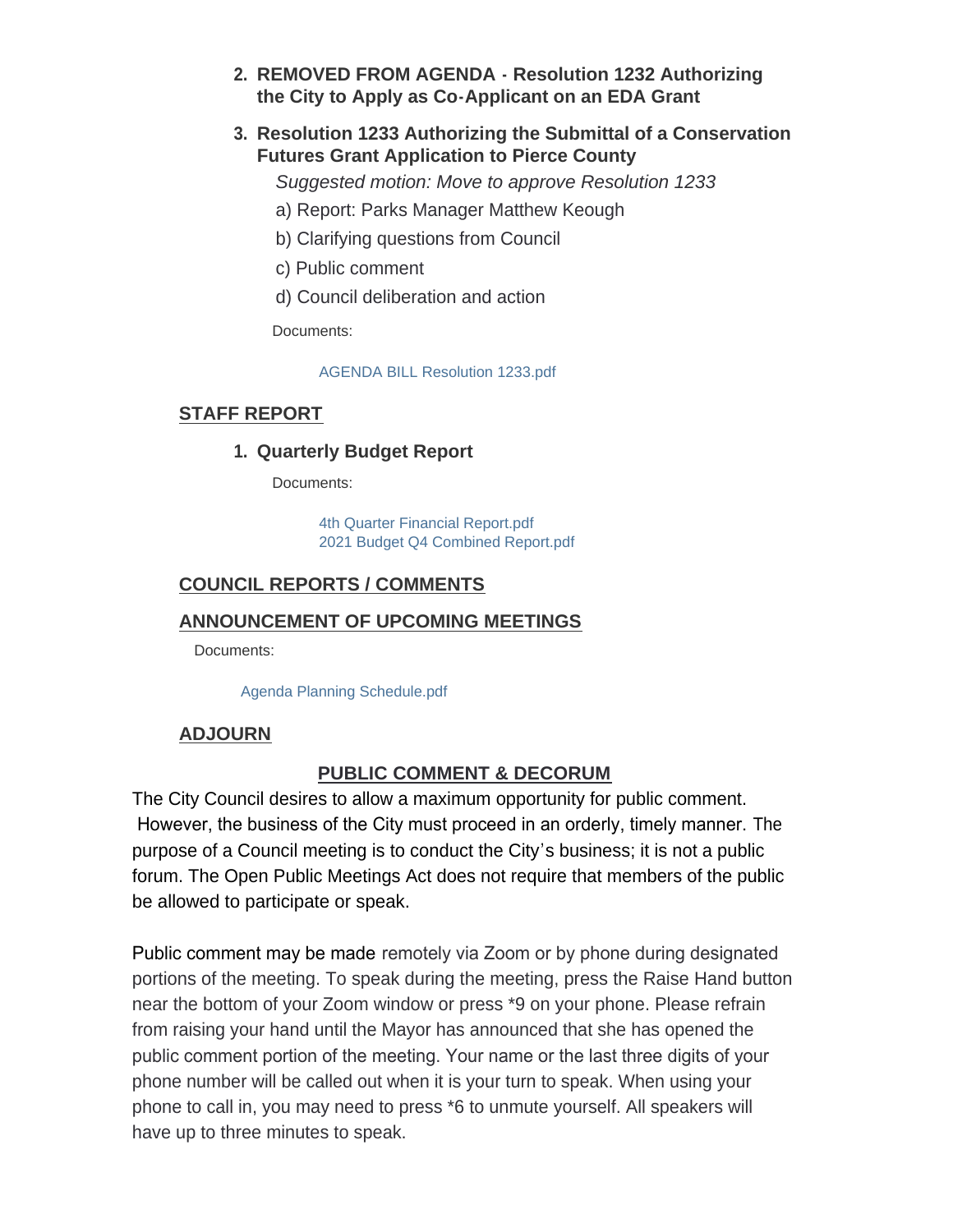- **REMOVED FROM AGENDA Resolution 1232 Authorizing 2. the City to Apply as Co-Applicant on an EDA Grant**
- **Resolution 1233 Authorizing the Submittal of a Conservation 3. Futures Grant Application to Pierce County**

*Suggested motion: Move to approve Resolution 1233*

- a) Report: Parks Manager Matthew Keough
- b) Clarifying questions from Council
- c) Public comment
- d) Council deliberation and action

Documents:

[AGENDA BILL Resolution 1233.pdf](http://www.cityofgigharbor.net/AgendaCenter/ViewFile/Item/775?fileID=1784)

## **STAFF REPORT**

**Quarterly Budget Report 1.**

Documents:

[4th Quarter Financial Report.pdf](http://www.cityofgigharbor.net/AgendaCenter/ViewFile/Item/769?fileID=1774) [2021 Budget Q4 Combined Report.pdf](http://www.cityofgigharbor.net/AgendaCenter/ViewFile/Item/769?fileID=1775)

## **COUNCIL REPORTS / COMMENTS**

## **ANNOUNCEMENT OF UPCOMING MEETINGS**

Documents:

[Agenda Planning Schedule.pdf](http://www.cityofgigharbor.net/AgendaCenter/ViewFile/Item/758?fileID=1783)

## **ADJOURN**

## **PUBLIC COMMENT & DECORUM**

The City Council desires to allow a maximum opportunity for public comment. However, the business of the City must proceed in an orderly, timely manner. The purpose of a Council meeting is to conduct the City's business; it is not a public forum. The Open Public Meetings Act does not require that members of the public be allowed to participate or speak.

Public comment may be made remotely via Zoom or by phone during designated portions of the meeting. To speak during the meeting, press the Raise Hand button near the bottom of your Zoom window or press \*9 on your phone. Please refrain from raising your hand until the Mayor has announced that she has opened the public comment portion of the meeting. Your name or the last three digits of your phone number will be called out when it is your turn to speak. When using your phone to call in, you may need to press \*6 to unmute yourself. All speakers will have up to three minutes to speak.